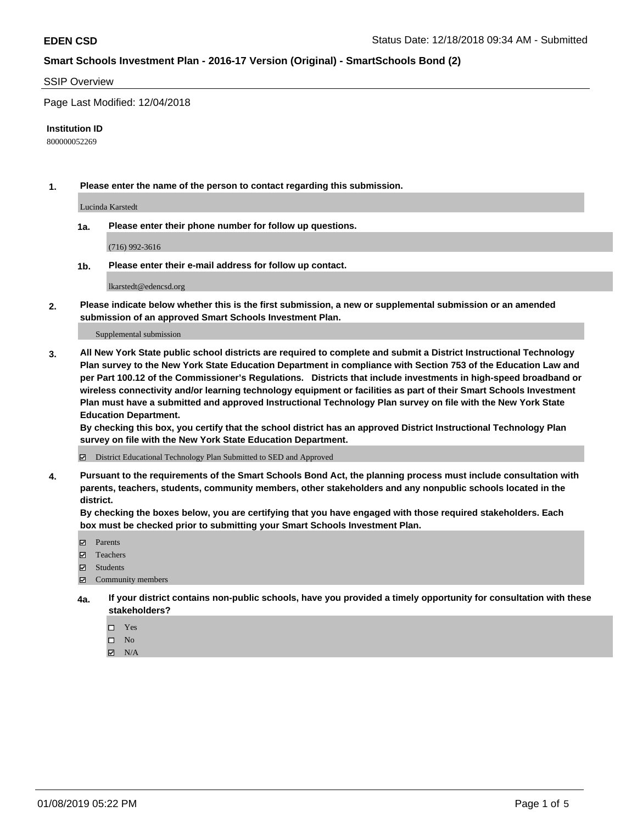#### SSIP Overview

Page Last Modified: 12/04/2018

#### **Institution ID**

800000052269

**1. Please enter the name of the person to contact regarding this submission.**

Lucinda Karstedt

**1a. Please enter their phone number for follow up questions.**

(716) 992-3616

**1b. Please enter their e-mail address for follow up contact.**

lkarstedt@edencsd.org

**2. Please indicate below whether this is the first submission, a new or supplemental submission or an amended submission of an approved Smart Schools Investment Plan.**

Supplemental submission

**3. All New York State public school districts are required to complete and submit a District Instructional Technology Plan survey to the New York State Education Department in compliance with Section 753 of the Education Law and per Part 100.12 of the Commissioner's Regulations. Districts that include investments in high-speed broadband or wireless connectivity and/or learning technology equipment or facilities as part of their Smart Schools Investment Plan must have a submitted and approved Instructional Technology Plan survey on file with the New York State Education Department.** 

**By checking this box, you certify that the school district has an approved District Instructional Technology Plan survey on file with the New York State Education Department.**

District Educational Technology Plan Submitted to SED and Approved

**4. Pursuant to the requirements of the Smart Schools Bond Act, the planning process must include consultation with parents, teachers, students, community members, other stakeholders and any nonpublic schools located in the district.** 

**By checking the boxes below, you are certifying that you have engaged with those required stakeholders. Each box must be checked prior to submitting your Smart Schools Investment Plan.**

- **□** Parents
- Teachers
- Students
- $\boxtimes$  Community members
- **4a. If your district contains non-public schools, have you provided a timely opportunity for consultation with these stakeholders?**
	- $\Box$  Yes
	- $\qquad \qquad$  No
	- $\blacksquare$  N/A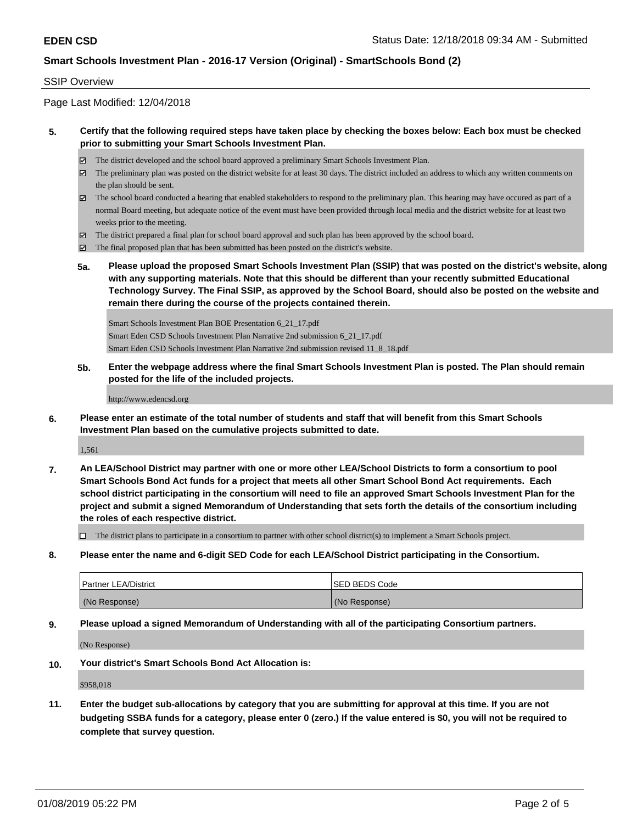#### SSIP Overview

Page Last Modified: 12/04/2018

### **5. Certify that the following required steps have taken place by checking the boxes below: Each box must be checked prior to submitting your Smart Schools Investment Plan.**

- The district developed and the school board approved a preliminary Smart Schools Investment Plan.
- $\boxtimes$  The preliminary plan was posted on the district website for at least 30 days. The district included an address to which any written comments on the plan should be sent.
- $\boxtimes$  The school board conducted a hearing that enabled stakeholders to respond to the preliminary plan. This hearing may have occured as part of a normal Board meeting, but adequate notice of the event must have been provided through local media and the district website for at least two weeks prior to the meeting.
- The district prepared a final plan for school board approval and such plan has been approved by the school board.
- $\boxtimes$  The final proposed plan that has been submitted has been posted on the district's website.
- **5a. Please upload the proposed Smart Schools Investment Plan (SSIP) that was posted on the district's website, along with any supporting materials. Note that this should be different than your recently submitted Educational Technology Survey. The Final SSIP, as approved by the School Board, should also be posted on the website and remain there during the course of the projects contained therein.**

Smart Schools Investment Plan BOE Presentation 6\_21\_17.pdf Smart Eden CSD Schools Investment Plan Narrative 2nd submission 6\_21\_17.pdf Smart Eden CSD Schools Investment Plan Narrative 2nd submission revised 11\_8\_18.pdf

**5b. Enter the webpage address where the final Smart Schools Investment Plan is posted. The Plan should remain posted for the life of the included projects.**

http://www.edencsd.org

**6. Please enter an estimate of the total number of students and staff that will benefit from this Smart Schools Investment Plan based on the cumulative projects submitted to date.**

1,561

**7. An LEA/School District may partner with one or more other LEA/School Districts to form a consortium to pool Smart Schools Bond Act funds for a project that meets all other Smart School Bond Act requirements. Each school district participating in the consortium will need to file an approved Smart Schools Investment Plan for the project and submit a signed Memorandum of Understanding that sets forth the details of the consortium including the roles of each respective district.**

 $\Box$  The district plans to participate in a consortium to partner with other school district(s) to implement a Smart Schools project.

**8. Please enter the name and 6-digit SED Code for each LEA/School District participating in the Consortium.**

| <b>Partner LEA/District</b> | <b>ISED BEDS Code</b> |
|-----------------------------|-----------------------|
| (No Response)               | (No Response)         |

**9. Please upload a signed Memorandum of Understanding with all of the participating Consortium partners.**

(No Response)

**10. Your district's Smart Schools Bond Act Allocation is:**

\$958,018

**11. Enter the budget sub-allocations by category that you are submitting for approval at this time. If you are not budgeting SSBA funds for a category, please enter 0 (zero.) If the value entered is \$0, you will not be required to complete that survey question.**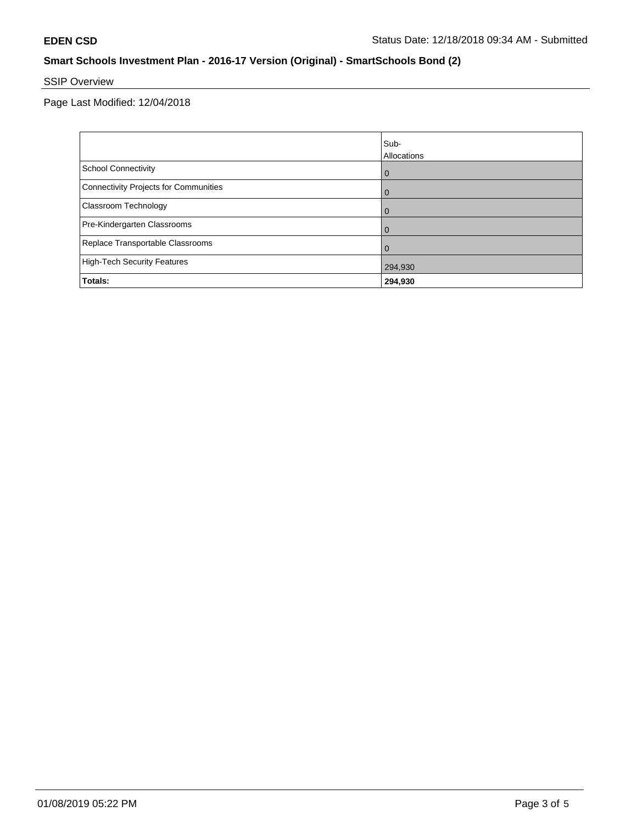# SSIP Overview

Page Last Modified: 12/04/2018

|                                       | Sub-<br><b>Allocations</b> |
|---------------------------------------|----------------------------|
| <b>School Connectivity</b>            | $\overline{0}$             |
| Connectivity Projects for Communities | $\overline{0}$             |
| <b>Classroom Technology</b>           | $\overline{0}$             |
| Pre-Kindergarten Classrooms           | 0                          |
| Replace Transportable Classrooms      | $\Omega$                   |
| High-Tech Security Features           | 294,930                    |
| <b>Totals:</b>                        | 294,930                    |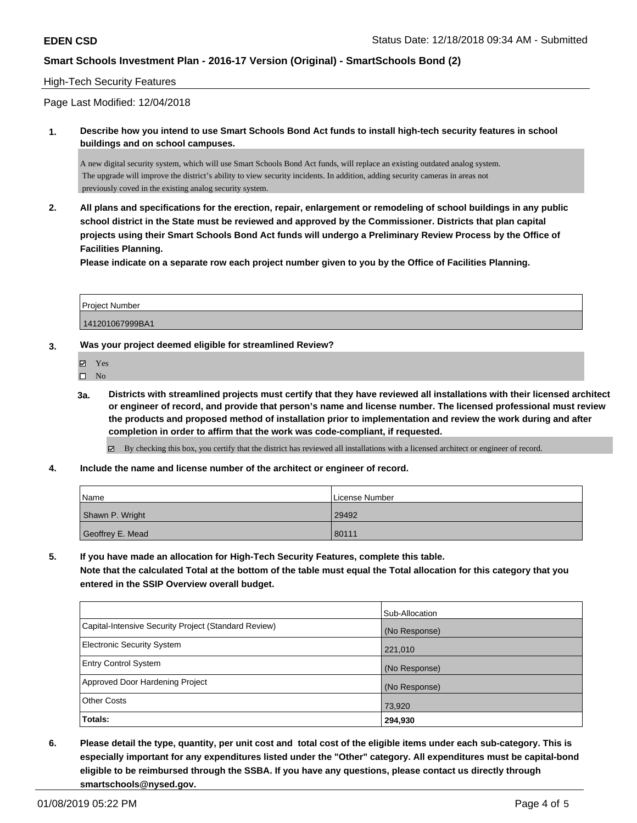### High-Tech Security Features

Page Last Modified: 12/04/2018

**1. Describe how you intend to use Smart Schools Bond Act funds to install high-tech security features in school buildings and on school campuses.**

A new digital security system, which will use Smart Schools Bond Act funds, will replace an existing outdated analog system. The upgrade will improve the district's ability to view security incidents. In addition, adding security cameras in areas not previously coved in the existing analog security system.

**2. All plans and specifications for the erection, repair, enlargement or remodeling of school buildings in any public school district in the State must be reviewed and approved by the Commissioner. Districts that plan capital projects using their Smart Schools Bond Act funds will undergo a Preliminary Review Process by the Office of Facilities Planning.** 

**Please indicate on a separate row each project number given to you by the Office of Facilities Planning.**

| Project Number  |  |
|-----------------|--|
| 141201067999BA1 |  |

#### **3. Was your project deemed eligible for streamlined Review?**

Yes

 $\square$  No

**3a. Districts with streamlined projects must certify that they have reviewed all installations with their licensed architect or engineer of record, and provide that person's name and license number. The licensed professional must review the products and proposed method of installation prior to implementation and review the work during and after completion in order to affirm that the work was code-compliant, if requested.**

By checking this box, you certify that the district has reviewed all installations with a licensed architect or engineer of record.

**4. Include the name and license number of the architect or engineer of record.**

| Name             | License Number |
|------------------|----------------|
| Shawn P. Wright  | 29492          |
| Geoffrey E. Mead | 80111          |

**5. If you have made an allocation for High-Tech Security Features, complete this table. Note that the calculated Total at the bottom of the table must equal the Total allocation for this category that you entered in the SSIP Overview overall budget.**

|                                                      | Sub-Allocation |  |
|------------------------------------------------------|----------------|--|
| Capital-Intensive Security Project (Standard Review) | (No Response)  |  |
| <b>Electronic Security System</b>                    | 221,010        |  |
| <b>Entry Control System</b>                          | (No Response)  |  |
| Approved Door Hardening Project                      | (No Response)  |  |
| <b>Other Costs</b>                                   | 73,920         |  |
| Totals:                                              | 294,930        |  |

**6. Please detail the type, quantity, per unit cost and total cost of the eligible items under each sub-category. This is especially important for any expenditures listed under the "Other" category. All expenditures must be capital-bond eligible to be reimbursed through the SSBA. If you have any questions, please contact us directly through smartschools@nysed.gov.**